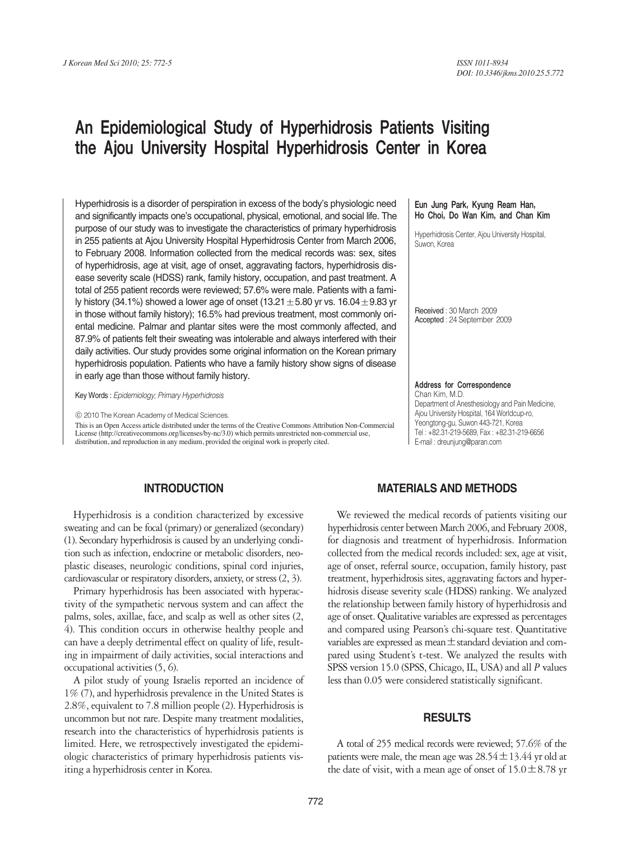# An Epidemiological Study of Hyperhidrosis Patients Visiting the Ajou University Hospital Hyperhidrosis Center in Korea

Hyperhidrosis is a disorder of perspiration in excess of the body's physiologic need and significantly impacts one's occupational, physical, emotional, and social life. The purpose of our study was to investigate the characteristics of primary hyperhidrosis in 255 patients at Ajou University Hospital Hyperhidrosis Center from March 2006, to February 2008. Information collected from the medical records was: sex, sites of hyperhidrosis, age at visit, age of onset, aggravating factors, hyperhidrosis disease severity scale (HDSS) rank, family history, occupation, and past treatment. A total of 255 patient records were reviewed; 57.6% were male. Patients with a family history (34.1%) showed a lower age of onset (13.21 $\pm$ 5.80 yr vs. 16.04 $\pm$ 9.83 yr in those without family history); 16.5% had previous treatment, most commonly oriental medicine. Palmar and plantar sites were the most commonly affected, and 87.9% of patients felt their sweating was intolerable and always interfered with their daily activities. Our study provides some original information on the Korean primary hyperhidrosis population. Patients who have a family history show signs of disease in early age than those without family history.

Key Words : *Epidemiology; Primary Hyperhidrosis*

ⓒ 2010 The Korean Academy of Medical Sciences.

This is an Open Access article distributed under the terms of the Creative Commons Attribution Non-Commercial License (http://creativecommons.org/licenses/by-nc/3.0) which permits unrestricted non-commercial use, distribution, and reproduction in any medium, provided the original work is properly cited.

### Eun Jung Park, Kyung Ream Han, Ho Choi, Do Wan Kim, and Chan Kim

Hyperhidrosis Center, Ajou University Hospital, Suwon, Korea

Received : 30 March 2009 Accepted : 24 September 2009

Address for Correspondence Chan Kim, M.D. Department of Anesthesiology and Pain Medicine, Ajou University Hospital, 164 Worldcup-ro, Yeongtong-gu, Suwon 443-721, Korea Tel : +82.31-219-5689, Fax : +82.31-219-6656 E-mail : dreunjung@paran.com

# **INTRODUCTION**

Hyperhidrosis is a condition characterized by excessive sweating and can be focal (primary) or generalized (secondary) (1). Secondary hyperhidrosis is caused by an underlying condition such as infection, endocrine or metabolic disorders, neoplastic diseases, neurologic conditions, spinal cord injuries, cardiovascular or respiratory disorders, anxiety, or stress (2, 3).

Primary hyperhidrosis has been associated with hyperactivity of the sympathetic nervous system and can affect the palms, soles, axillae, face, and scalp as well as other sites (2, 4). This condition occurs in otherwise healthy people and can have a deeply detrimental effect on quality of life, resulting in impairment of daily activities, social interactions and occupational activities (5, 6).

A pilot study of young Israelis reported an incidence of 1% (7), and hyperhidrosis prevalence in the United States is 2.8%, equivalent to 7.8 million people (2). Hyperhidrosis is uncommon but not rare. Despite many treatment modalities, research into the characteristics of hyperhidrosis patients is limited. Here, we retrospectively investigated the epidemiologic characteristics of primary hyperhidrosis patients visiting a hyperhidrosis center in Korea.

# **MATERIALS AND METHODS**

We reviewed the medical records of patients visiting our hyperhidrosis center between March 2006, and February 2008, for diagnosis and treatment of hyperhidrosis. Information collected from the medical records included: sex, age at visit, age of onset, referral source, occupation, family history, past treatment, hyperhidrosis sites, aggravating factors and hyperhidrosis disease severity scale (HDSS) ranking. We analyzed the relationship between family history of hyperhidrosis and age of onset. Qualitative variables are expressed as percentages and compared using Pearson's chi-square test. Quantitative variables are expressed as mean  $\pm$  standard deviation and compared using Student's t-test. We analyzed the results with SPSS version 15.0 (SPSS, Chicago, IL, USA) and all *P* values less than 0.05 were considered statistically significant.

## **RESULTS**

A total of 255 medical records were reviewed; 57.6% of the patients were male, the mean age was  $28.54 \pm 13.44$  yr old at the date of visit, with a mean age of onset of  $15.0 \pm 8.78$  yr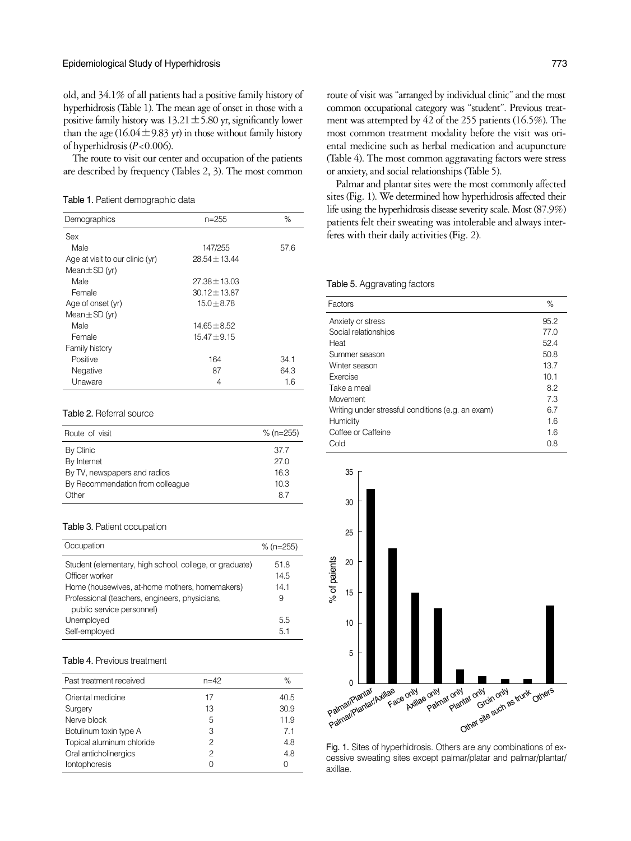old, and 34.1% of all patients had a positive family history of hyperhidrosis (Table 1). The mean age of onset in those with a positive family history was  $13.21 \pm 5.80$  yr, significantly lower than the age  $(16.04 \pm 9.83 \text{ yr})$  in those without family history of hyperhidrosis (*P*<0.006).

The route to visit our center and occupation of the patients are described by frequency (Tables 2, 3). The most common

Table 1. Patient demographic data

| Demographics                    | n=255             | %    |
|---------------------------------|-------------------|------|
| Sex                             |                   |      |
| Male                            | 147/255           | 57.6 |
| Age at visit to our clinic (yr) | $28.54 \pm 13.44$ |      |
| Mean $\pm$ SD (yr)              |                   |      |
| Male                            | $27.38 \pm 13.03$ |      |
| Female                          | $30.12 \pm 13.87$ |      |
| Age of onset (yr)               | $15.0 \pm 8.78$   |      |
| Mean $\pm$ SD (yr)              |                   |      |
| Male                            | $14.65 \pm 8.52$  |      |
| Female                          | $15.47 \pm 9.15$  |      |
| Family history                  |                   |      |
| Positive                        | 164               | 34.1 |
| Negative                        | 87                | 64.3 |
| Unaware                         | 4                 | 1.6  |

#### Table 2. Referral source

| Route of visit                   | $%$ (n=255) |
|----------------------------------|-------------|
| By Clinic                        | 37.7        |
| By Internet                      | 27 Q        |
| By TV, newspapers and radios     | 16.3        |
| By Recommendation from colleague | 10.3        |
| Other                            | 87          |

#### Table 3. Patient occupation

| Occupation                                                                  | $%$ (n=255)  |
|-----------------------------------------------------------------------------|--------------|
| Student (elementary, high school, college, or graduate)<br>Officer worker   | 51.8<br>14.5 |
| Home (housewives, at-home mothers, homemakers)                              | 141          |
| Professional (teachers, engineers, physicians,<br>public service personnel) | 9            |
| Unemployed                                                                  | 55           |
| Self-employed                                                               | 51           |

#### Table 4. Previous treatment

| Past treatment received   | $n = 42$ | %    |
|---------------------------|----------|------|
| Oriental medicine         | 17       | 40.5 |
| Surgery                   | 13       | 30.9 |
| Nerve block               | 5        | 11.9 |
| Botulinum toxin type A    | 3        | 71   |
| Topical aluminum chloride | 2        | 4.8  |
| Oral anticholinergics     | 2        | 48   |
| Iontophoresis             | O        | Λ    |

route of visit was "arranged by individual clinic" and the most common occupational category was "student". Previous treatment was attempted by 42 of the 255 patients (16.5%). The most common treatment modality before the visit was oriental medicine such as herbal medication and acupuncture (Table 4). The most common aggravating factors were stress or anxiety, and social relationships (Table 5).

Palmar and plantar sites were the most commonly affected sites (Fig. 1). We determined how hyperhidrosis affected their life using the hyperhidrosis disease severity scale. Most (87.9%) patients felt their sweating was intolerable and always interferes with their daily activities (Fig. 2).

## Table 5. Aggravating factors

| Factors                                           | $\%$ |
|---------------------------------------------------|------|
| Anxiety or stress                                 | 95.2 |
| Social relationships                              | 77.0 |
| Heat                                              | 52.4 |
| Summer season                                     | 50.8 |
| Winter season                                     | 13.7 |
| Exercise                                          | 10.1 |
| Take a meal                                       | 8.2  |
| Movement                                          | 7.3  |
| Writing under stressful conditions (e.g. an exam) | 6.7  |
| Humidity                                          | 1.6  |
| Coffee or Caffeine                                | 1.6  |
| Cold                                              | 0.8  |



Fig. 1. Sites of hyperhidrosis. Others are any combinations of excessive sweating sites except palmar/platar and palmar/plantar/ axillae.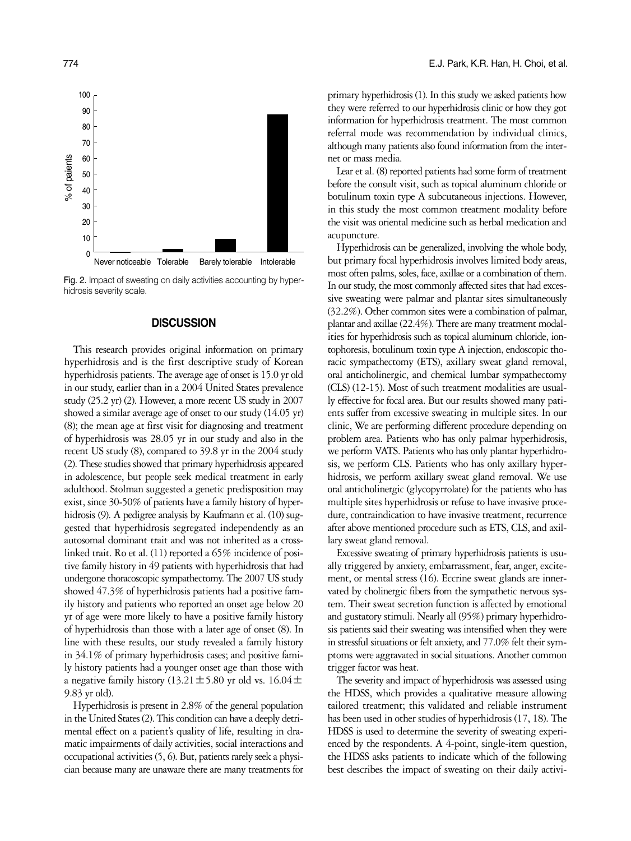

Fig. 2. Impact of sweating on daily activities accounting by hyperhidrosis severity scale.

## **DISCUSSION**

This research provides original information on primary hyperhidrosis and is the first descriptive study of Korean hyperhidrosis patients. The average age of onset is 15.0 yr old in our study, earlier than in a 2004 United States prevalence study (25.2 yr) (2). However, a more recent US study in 2007 showed a similar average age of onset to our study (14.05 yr) (8); the mean age at first visit for diagnosing and treatment of hyperhidrosis was 28.05 yr in our study and also in the recent US study (8), compared to 39.8 yr in the 2004 study (2). These studies showed that primary hyperhidrosis appeared in adolescence, but people seek medical treatment in early adulthood. Stolman suggested a genetic predisposition may exist, since 30-50% of patients have a family history of hyperhidrosis (9). A pedigree analysis by Kaufmann et al. (10) suggested that hyperhidrosis segregated independently as an autosomal dominant trait and was not inherited as a crosslinked trait. Ro et al. (11) reported a 65% incidence of positive family history in 49 patients with hyperhidrosis that had undergone thoracoscopic sympathectomy. The 2007 US study showed 47.3% of hyperhidrosis patients had a positive family history and patients who reported an onset age below 20 yr of age were more likely to have a positive family history of hyperhidrosis than those with a later age of onset (8). In line with these results, our study revealed a family history in 34.1% of primary hyperhidrosis cases; and positive family history patients had a younger onset age than those with a negative family history (13.21 $\pm$ 5.80 yr old vs. 16.04 $\pm$ 9.83 yr old).

Hyperhidrosis is present in 2.8% of the general population in the United States (2). This condition can have a deeply detrimental effect on a patient's quality of life, resulting in dramatic impairments of daily activities, social interactions and occupational activities (5, 6). But, patients rarely seek a physician because many are unaware there are many treatments for

primary hyperhidrosis (1). In this study we asked patients how they were referred to our hyperhidrosis clinic or how they got information for hyperhidrosis treatment. The most common referral mode was recommendation by individual clinics, although many patients also found information from the internet or mass media.

Lear et al. (8) reported patients had some form of treatment before the consult visit, such as topical aluminum chloride or botulinum toxin type A subcutaneous injections. However, in this study the most common treatment modality before the visit was oriental medicine such as herbal medication and acupuncture.

Hyperhidrosis can be generalized, involving the whole body, but primary focal hyperhidrosis involves limited body areas, most often palms, soles, face, axillae or a combination of them. In our study, the most commonly affected sites that had excessive sweating were palmar and plantar sites simultaneously (32.2%). Other common sites were a combination of palmar, plantar and axillae (22.4%). There are many treatment modalities for hyperhidrosis such as topical aluminum chloride, iontophoresis, botulinum toxin type A injection, endoscopic thoracic sympathectomy (ETS), axillary sweat gland removal, oral anticholinergic, and chemical lumbar sympathectomy (CLS) (12-15). Most of such treatment modalities are usually effective for focal area. But our results showed many patients suffer from excessive sweating in multiple sites. In our clinic, We are performing different procedure depending on problem area. Patients who has only palmar hyperhidrosis, we perform VATS. Patients who has only plantar hyperhidrosis, we perform CLS. Patients who has only axillary hyperhidrosis, we perform axillary sweat gland removal. We use oral anticholinergic (glycopyrrolate) for the patients who has multiple sites hyperhidrosis or refuse to have invasive procedure, contraindication to have invasive treatment, recurrence after above mentioned procedure such as ETS, CLS, and axillary sweat gland removal.

Excessive sweating of primary hyperhidrosis patients is usually triggered by anxiety, embarrassment, fear, anger, excitement, or mental stress (16). Eccrine sweat glands are innervated by cholinergic fibers from the sympathetic nervous system. Their sweat secretion function is affected by emotional and gustatory stimuli. Nearly all (95%) primary hyperhidrosis patients said their sweating was intensified when they were in stressful situations or felt anxiety, and 77.0% felt their symptoms were aggravated in social situations. Another common trigger factor was heat.

The severity and impact of hyperhidrosis was assessed using the HDSS, which provides a qualitative measure allowing tailored treatment; this validated and reliable instrument has been used in other studies of hyperhidrosis (17, 18). The HDSS is used to determine the severity of sweating experienced by the respondents. A 4-point, single-item question, the HDSS asks patients to indicate which of the following best describes the impact of sweating on their daily activi-